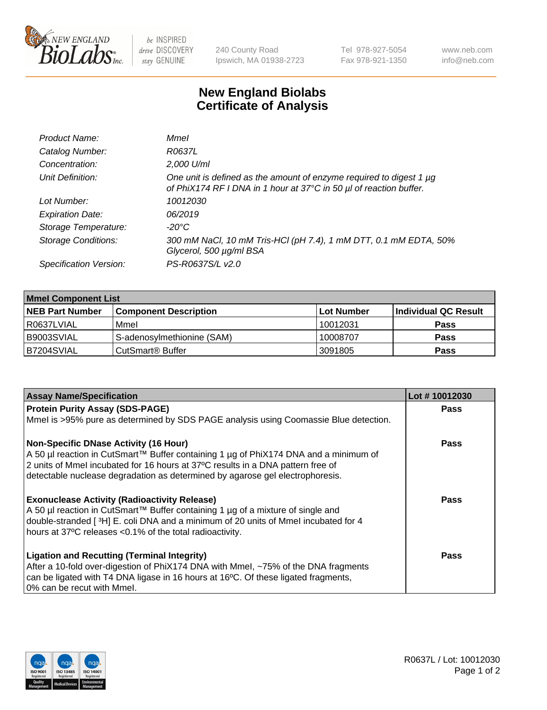

be INSPIRED drive DISCOVERY stay GENUINE

240 County Road Ipswich, MA 01938-2723 Tel 978-927-5054 Fax 978-921-1350

www.neb.com info@neb.com

## **New England Biolabs Certificate of Analysis**

| Product Name:              | Mmel                                                                                                                                           |
|----------------------------|------------------------------------------------------------------------------------------------------------------------------------------------|
| Catalog Number:            | R0637L                                                                                                                                         |
| Concentration:             | 2,000 U/ml                                                                                                                                     |
| Unit Definition:           | One unit is defined as the amount of enzyme required to digest 1 $\mu$ g<br>of PhiX174 RF I DNA in 1 hour at 37°C in 50 µl of reaction buffer. |
| Lot Number:                | 10012030                                                                                                                                       |
| <b>Expiration Date:</b>    | 06/2019                                                                                                                                        |
| Storage Temperature:       | $-20^{\circ}$ C                                                                                                                                |
| <b>Storage Conditions:</b> | 300 mM NaCl, 10 mM Tris-HCl (pH 7.4), 1 mM DTT, 0.1 mM EDTA, 50%<br>Glycerol, 500 µg/ml BSA                                                    |
| Specification Version:     | PS-R0637S/L v2.0                                                                                                                               |

| <b>Mmel Component List</b> |                              |            |                      |  |  |
|----------------------------|------------------------------|------------|----------------------|--|--|
| <b>NEB Part Number</b>     | <b>Component Description</b> | Lot Number | Individual QC Result |  |  |
| R0637LVIAL                 | Mmel                         | 10012031   | <b>Pass</b>          |  |  |
| B9003SVIAL                 | S-adenosylmethionine (SAM)   | 10008707   | <b>Pass</b>          |  |  |
| B7204SVIAL                 | CutSmart <sup>®</sup> Buffer | 3091805    | Pass                 |  |  |

| <b>Assay Name/Specification</b>                                                                                                                                                                                                                                                                          | Lot #10012030 |
|----------------------------------------------------------------------------------------------------------------------------------------------------------------------------------------------------------------------------------------------------------------------------------------------------------|---------------|
| <b>Protein Purity Assay (SDS-PAGE)</b>                                                                                                                                                                                                                                                                   | <b>Pass</b>   |
| Mmel is >95% pure as determined by SDS PAGE analysis using Coomassie Blue detection.                                                                                                                                                                                                                     |               |
| <b>Non-Specific DNase Activity (16 Hour)</b><br>A 50 µl reaction in CutSmart™ Buffer containing 1 µg of PhiX174 DNA and a minimum of<br>2 units of Mmel incubated for 16 hours at 37°C results in a DNA pattern free of<br>detectable nuclease degradation as determined by agarose gel electrophoresis. | Pass          |
| <b>Exonuclease Activity (Radioactivity Release)</b><br>A 50 µl reaction in CutSmart™ Buffer containing 1 µg of a mixture of single and<br>double-stranded [3H] E. coli DNA and a minimum of 20 units of Mmel incubated for 4<br>hours at 37°C releases <0.1% of the total radioactivity.                 | Pass          |
| <b>Ligation and Recutting (Terminal Integrity)</b><br>After a 10-fold over-digestion of PhiX174 DNA with Mmel, ~75% of the DNA fragments<br>can be ligated with T4 DNA ligase in 16 hours at 16°C. Of these ligated fragments,<br>0% can be recut with Mmel.                                             | <b>Pass</b>   |